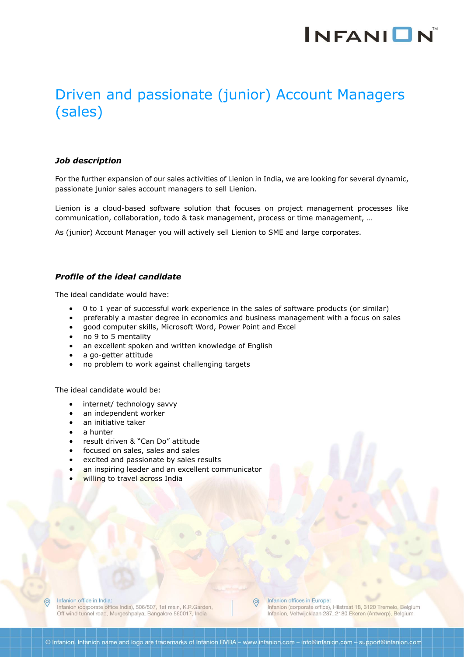# **INFANION**

### Driven and passionate (junior) Account Managers (sales)

### *Job description*

For the further expansion of our sales activities of Lienion in India, we are looking for several dynamic, passionate junior sales account managers to sell Lienion.

Lienion is a cloud-based software solution that focuses on project management processes like communication, collaboration, todo & task management, process or time management, …

As (junior) Account Manager you will actively sell Lienion to SME and large corporates.

### *Profile of the ideal candidate*

The ideal candidate would have:

- 0 to 1 year of successful work experience in the sales of software products (or similar)
- preferably a master degree in economics and business management with a focus on sales
- good computer skills, Microsoft Word, Power Point and Excel
- no 9 to 5 mentality
- an excellent spoken and written knowledge of English
- a go-getter attitude
- no problem to work against challenging targets

The ideal candidate would be:

- internet/ technology savvy
- an independent worker
- an initiative taker
- a hunter
- result driven & "Can Do" attitude
- focused on sales, sales and sales
- excited and passionate by sales results
- an inspiring leader and an excellent communicator
- willing to travel across India



Infanion office in India:

Infanion (corporate office India), 506/507, 1st main, K.R.Garden, Off wind tunnel road, Murgeshpalya, Bangalore 560017, India

Infanion offices in Europe:

Infanion (corporate office), Hilstraat 18, 3120 Tremelo, Belgium Infanion, Veltwijcklaan 287, 2180 Ekeren (Antwerp), Belgium